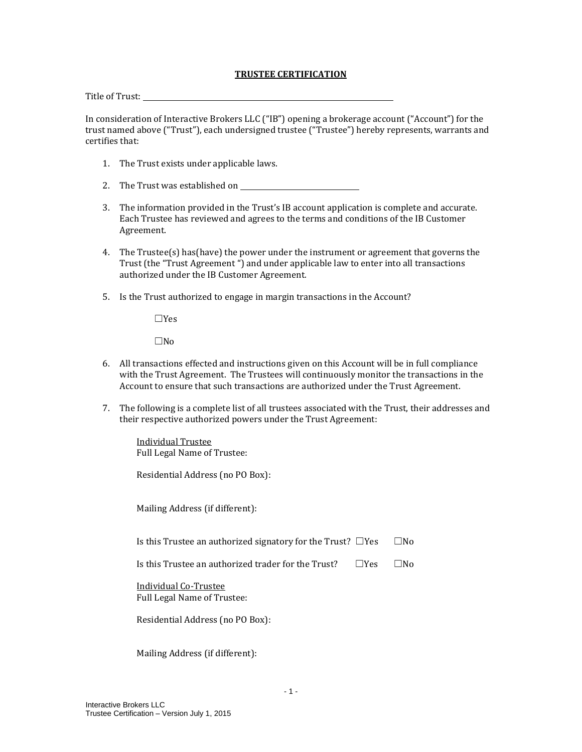## **TRUSTEE CERTIFICATION**

Title of Trust:

In consideration of Interactive Brokers LLC ("IB") opening a brokerage account ("Account") for the trust named above ("Trust"), each undersigned trustee ("Trustee") hereby represents, warrants and certifies that:

- 1. The Trust exists under applicable laws.
- 2. The Trust was established on
- 3. The information provided in the Trust's IB account application is complete and accurate. Each Trustee has reviewed and agrees to the terms and conditions of the IB Customer Agreement.
- 4. The Trustee(s) has(have) the power under the instrument or agreement that governs the Trust (the "Trust Agreement ") and under applicable law to enter into all transactions authorized under the IB Customer Agreement*.*
- 5. Is the Trust authorized to engage in margin transactions in the Account?

☐Yes

☐No

- 6. All transactions effected and instructions given on this Account will be in full compliance with the Trust Agreement. The Trustees will continuously monitor the transactions in the Account to ensure that such transactions are authorized under the Trust Agreement.
- 7. The following is a complete list of all trustees associated with the Trust, their addresses and their respective authorized powers under the Trust Agreement:

Individual Trustee Full Legal Name of Trustee:

Residential Address (no PO Box):

Mailing Address (if different):

Is this Trustee an authorized signatory for the Trust?  $\square$ Yes  $\square$ No

Is this Trustee an authorized trader for the Trust?  $□Yes$   $□No$ 

Individual Co-Trustee Full Legal Name of Trustee:

Residential Address (no PO Box):

Mailing Address (if different):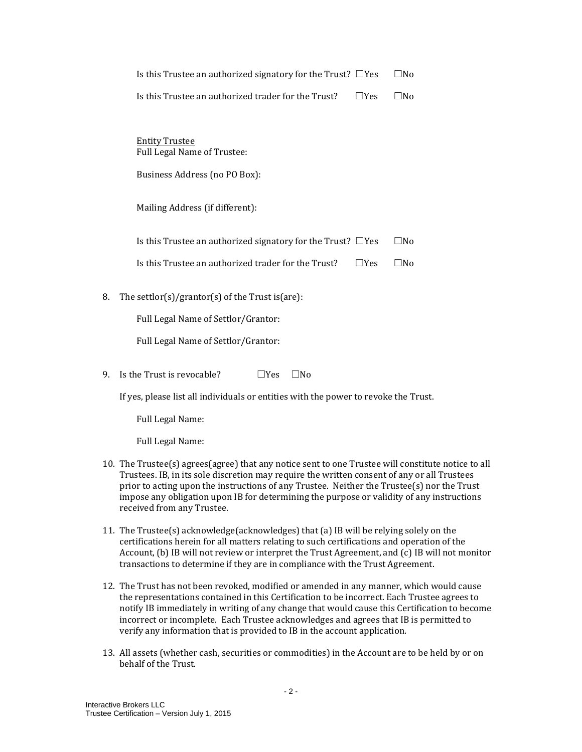|    | Is this Trustee an authorized signatory for the Trust? $\Box$ Yes | □No          |
|----|-------------------------------------------------------------------|--------------|
|    | Is this Trustee an authorized trader for the Trust?<br>$\Box$ Yes | $\square$ No |
|    |                                                                   |              |
|    | <b>Entity Trustee</b><br>Full Legal Name of Trustee:              |              |
|    | Business Address (no PO Box):                                     |              |
|    | Mailing Address (if different):                                   |              |
|    | Is this Trustee an authorized signatory for the Trust? $\Box$ Yes | $\square$ No |
|    | Is this Trustee an authorized trader for the Trust?<br>∏Yes       | □No          |
| 8. | The settlor(s)/grantor(s) of the Trust is (are):                  |              |
|    | Full Legal Name of Settlor/Grantor:                               |              |
|    | Full Legal Name of Settlor/Grantor:                               |              |
|    |                                                                   |              |

9. Is the Trust is revocable?  $\Box$  Yes  $\Box$  No

If yes, please list all individuals or entities with the power to revoke the Trust.

Full Legal Name:

Full Legal Name:

- 10. The Trustee(s) agrees(agree) that any notice sent to one Trustee will constitute notice to all Trustees. IB, in its sole discretion may require the written consent of any or all Trustees prior to acting upon the instructions of any Trustee. Neither the Trustee(s) nor the Trust impose any obligation upon IB for determining the purpose or validity of any instructions received from any Trustee.
- 11. The Trustee(s) acknowledge(acknowledges) that (a) IB will be relying solely on the certifications herein for all matters relating to such certifications and operation of the Account, (b) IB will not review or interpret the Trust Agreement, and (c) IB will not monitor transactions to determine if they are in compliance with the Trust Agreement.
- 12. The Trust has not been revoked, modified or amended in any manner, which would cause the representations contained in this Certification to be incorrect. Each Trustee agrees to notify IB immediately in writing of any change that would cause this Certification to become incorrect or incomplete. Each Trustee acknowledges and agrees that IB is permitted to verify any information that is provided to IB in the account application.
- 13. All assets (whether cash, securities or commodities) in the Account are to be held by or on behalf of the Trust.